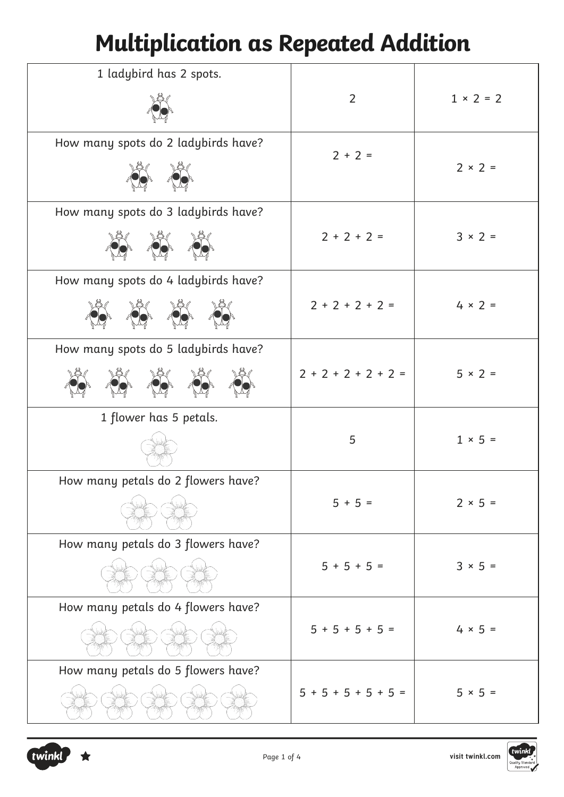## **Multiplication as Repeated Addition**

| 1 ladybird has 2 spots.             |                       |                |
|-------------------------------------|-----------------------|----------------|
|                                     | $\overline{2}$        | $1 × 2 = 2$    |
| How many spots do 2 ladybirds have? | $2 + 2 =$             |                |
|                                     |                       | $2 \times 2 =$ |
| How many spots do 3 ladybirds have? |                       |                |
|                                     | $2 + 2 + 2 =$         | $3 \times 2 =$ |
| How many spots do 4 ladybirds have? |                       |                |
|                                     | $2 + 2 + 2 + 2 =$     | $4 \times 2 =$ |
| How many spots do 5 ladybirds have? |                       |                |
|                                     | $2 + 2 + 2 + 2 + 2 =$ | $5 \times 2 =$ |
| 1 flower has 5 petals.              |                       |                |
|                                     | 5                     | $1 \times 5 =$ |
| How many petals do 2 flowers have?  |                       |                |
|                                     | $5 + 5 =$             | $2 × 5 =$      |
| How many petals do 3 flowers have?  |                       |                |
|                                     | $5 + 5 + 5 =$         | $3 × 5 =$      |
| How many petals do 4 flowers have?  |                       |                |
|                                     | $5 + 5 + 5 + 5 =$     | $4 × 5 =$      |
| How many petals do 5 flowers have?  |                       |                |
|                                     | $5 + 5 + 5 + 5 + 5 =$ | $5 × 5 =$      |

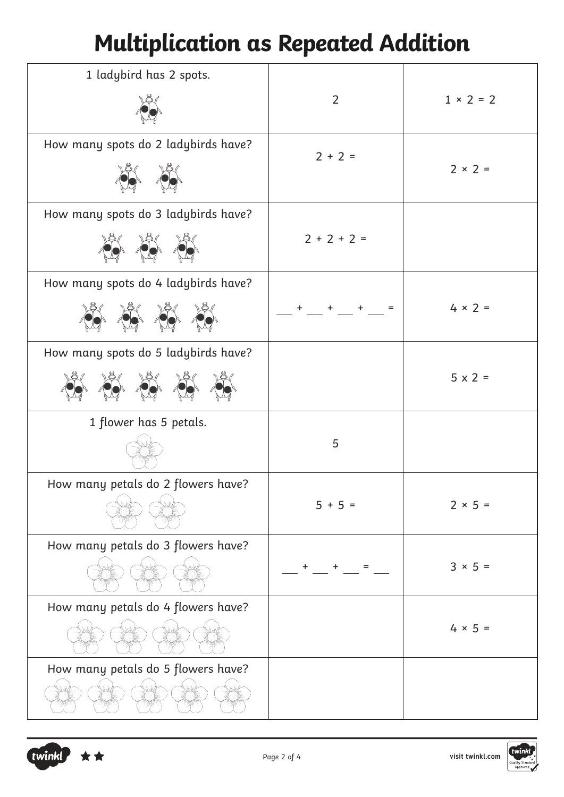## **Multiplication as Repeated Addition**

| 1 ladybird has 2 spots.             |                |                |
|-------------------------------------|----------------|----------------|
|                                     | $\overline{2}$ | $1 × 2 = 2$    |
| How many spots do 2 ladybirds have? | $2 + 2 =$      | $2 \times 2 =$ |
| How many spots do 3 ladybirds have? |                |                |
|                                     | $2 + 2 + 2 =$  |                |
| How many spots do 4 ladybirds have? |                |                |
|                                     | $=$            | $4 \times 2 =$ |
| How many spots do 5 ladybirds have? |                |                |
|                                     |                | $5 \times 2 =$ |
| 1 flower has 5 petals.              |                |                |
|                                     | 5              |                |
| How many petals do 2 flowers have?  |                |                |
|                                     | $5 + 5 =$      | $2 × 5 =$      |
| How many petals do 3 flowers have?  |                |                |
|                                     |                | $3 × 5 =$      |
| How many petals do 4 flowers have?  |                |                |
|                                     |                | $4 × 5 =$      |
| How many petals do 5 flowers have?  |                |                |
|                                     |                |                |

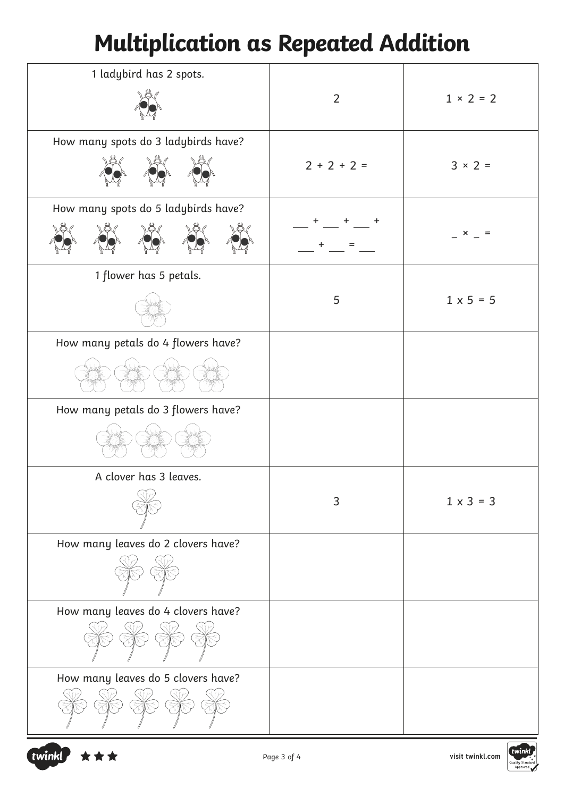## **Multiplication as Repeated Addition**

| 1 ladybird has 2 spots.             | $\overline{2}$ | $1 × 2 = 2$      |
|-------------------------------------|----------------|------------------|
| How many spots do 3 ladybirds have? | $2 + 2 + 2 =$  | $3 \times 2 =$   |
| How many spots do 5 ladybirds have? |                | ×                |
| 1 flower has 5 petals.              | 5              | $1 \times 5 = 5$ |
| How many petals do 4 flowers have?  |                |                  |
| How many petals do 3 flowers have?  |                |                  |
| A clover has 3 leaves.              | 3              | $1 \times 3 = 3$ |
| How many leaves do 2 clovers have?  |                |                  |
| How many leaves do 4 clovers have?  |                |                  |
| How many leaves do 5 clovers have?  |                |                  |